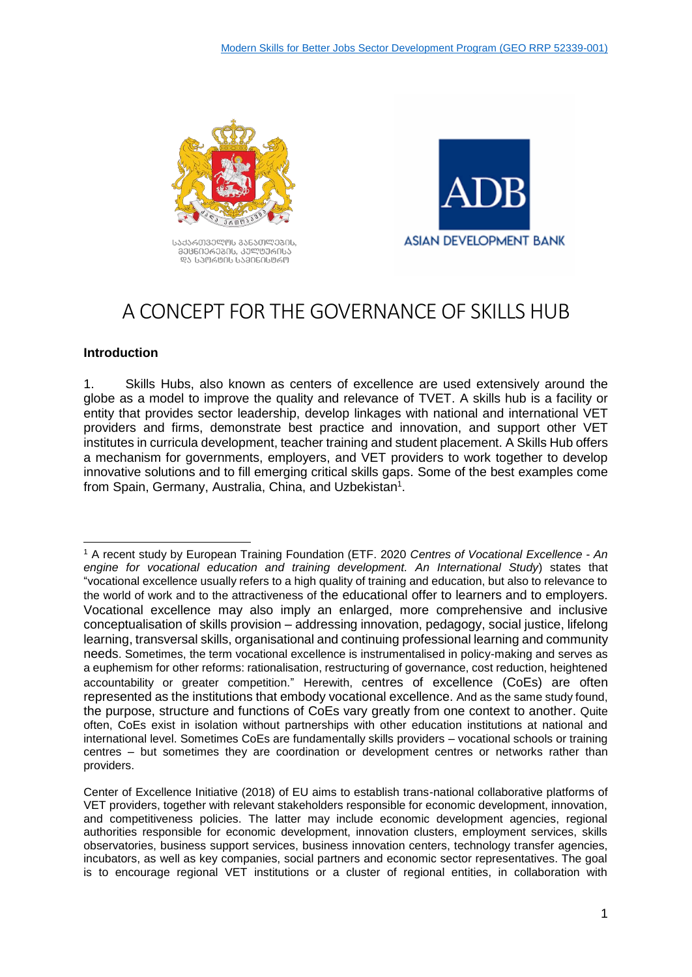

Jesus Company and Canada List ᲛᲔᲪᲜᲘᲔᲠᲔᲑᲘᲡ, ᲙᲣᲚᲡᲣᲠᲘᲡᲐ ᲓᲐ ᲡᲞᲝᲠᲢᲘᲡ ᲡᲐᲛᲘᲜᲘᲡᲢᲠᲝ



# A CONCEPT FOR THE GOVERNANCE OF SKILLS HUB

#### **Introduction**

-

1. Skills Hubs, also known as centers of excellence are used extensively around the globe as a model to improve the quality and relevance of TVET. A skills hub is a facility or entity that provides sector leadership, develop linkages with national and international VET providers and firms, demonstrate best practice and innovation, and support other VET institutes in curricula development, teacher training and student placement. A Skills Hub offers a mechanism for governments, employers, and VET providers to work together to develop innovative solutions and to fill emerging critical skills gaps. Some of the best examples come from Spain, Germany, Australia, China, and Uzbekistan<sup>1</sup>.

<sup>1</sup> A recent study by European Training Foundation (ETF. 2020 *Centres of Vocational Excellence - An engine for vocational education and training development. An International Study*) states that "vocational excellence usually refers to a high quality of training and education, but also to relevance to the world of work and to the attractiveness of the educational offer to learners and to employers. Vocational excellence may also imply an enlarged, more comprehensive and inclusive conceptualisation of skills provision – addressing innovation, pedagogy, social justice, lifelong learning, transversal skills, organisational and continuing professional learning and community needs. Sometimes, the term vocational excellence is instrumentalised in policy-making and serves as a euphemism for other reforms: rationalisation, restructuring of governance, cost reduction, heightened accountability or greater competition." Herewith, centres of excellence (CoEs) are often represented as the institutions that embody vocational excellence. And as the same study found, the purpose, structure and functions of CoEs vary greatly from one context to another. Quite often, CoEs exist in isolation without partnerships with other education institutions at national and international level. Sometimes CoEs are fundamentally skills providers – vocational schools or training centres – but sometimes they are coordination or development centres or networks rather than providers.

Center of Excellence Initiative (2018) of EU aims to establish trans-national collaborative platforms of VET providers, together with relevant stakeholders responsible for economic development, innovation, and competitiveness policies. The latter may include economic development agencies, regional authorities responsible for economic development, innovation clusters, employment services, skills observatories, business support services, business innovation centers, technology transfer agencies, incubators, as well as key companies, social partners and economic sector representatives. The goal is to encourage regional VET institutions or a cluster of regional entities, in collaboration with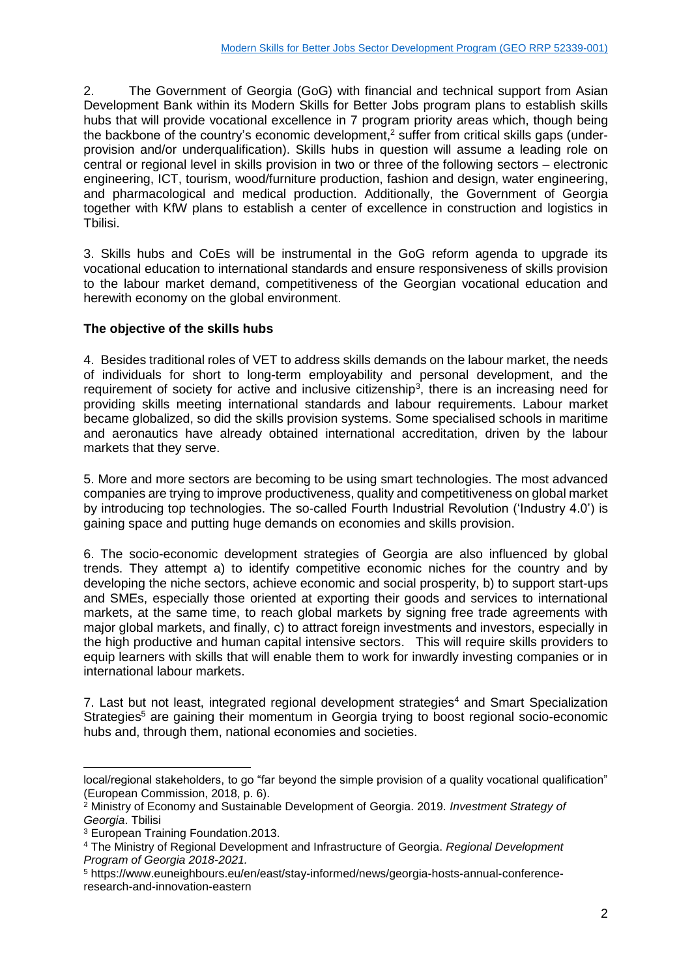2. The Government of Georgia (GoG) with financial and technical support from Asian Development Bank within its Modern Skills for Better Jobs program plans to establish skills hubs that will provide vocational excellence in 7 program priority areas which, though being the backbone of the country's economic development, <sup>2</sup> suffer from critical skills gaps (underprovision and/or underqualification). Skills hubs in question will assume a leading role on central or regional level in skills provision in two or three of the following sectors – electronic engineering, ICT, tourism, wood/furniture production, fashion and design, water engineering, and pharmacological and medical production. Additionally, the Government of Georgia together with KfW plans to establish a center of excellence in construction and logistics in Tbilisi.

3. Skills hubs and CoEs will be instrumental in the GoG reform agenda to upgrade its vocational education to international standards and ensure responsiveness of skills provision to the labour market demand, competitiveness of the Georgian vocational education and herewith economy on the global environment.

#### **The objective of the skills hubs**

4. Besides traditional roles of VET to address skills demands on the labour market, the needs of individuals for short to long-term employability and personal development, and the requirement of society for active and inclusive citizenship<sup>3</sup>, there is an increasing need for providing skills meeting international standards and labour requirements. Labour market became globalized, so did the skills provision systems. Some specialised schools in maritime and aeronautics have already obtained international accreditation, driven by the labour markets that they serve.

5. More and more sectors are becoming to be using smart technologies. The most advanced companies are trying to improve productiveness, quality and competitiveness on global market by introducing top technologies. The so-called Fourth Industrial Revolution ('Industry 4.0') is gaining space and putting huge demands on economies and skills provision.

6. The socio-economic development strategies of Georgia are also influenced by global trends. They attempt a) to identify competitive economic niches for the country and by developing the niche sectors, achieve economic and social prosperity, b) to support start-ups and SMEs, especially those oriented at exporting their goods and services to international markets, at the same time, to reach global markets by signing free trade agreements with major global markets, and finally, c) to attract foreign investments and investors, especially in the high productive and human capital intensive sectors. This will require skills providers to equip learners with skills that will enable them to work for inwardly investing companies or in international labour markets.

7. Last but not least, integrated regional development strategies<sup>4</sup> and Smart Specialization Strategies<sup>5</sup> are gaining their momentum in Georgia trying to boost regional socio-economic hubs and, through them, national economies and societies.

local/regional stakeholders, to go "far beyond the simple provision of a quality vocational qualification" (European Commission, 2018, p. 6).

<sup>2</sup> Ministry of Economy and Sustainable Development of Georgia. 2019. *Investment Strategy of Georgia*. Tbilisi

<sup>3</sup> European Training Foundation.2013.

<sup>4</sup> The Ministry of Regional Development and Infrastructure of Georgia. *Regional Development Program of Georgia 2018-2021.*

<sup>5</sup> https://www.euneighbours.eu/en/east/stay-informed/news/georgia-hosts-annual-conferenceresearch-and-innovation-eastern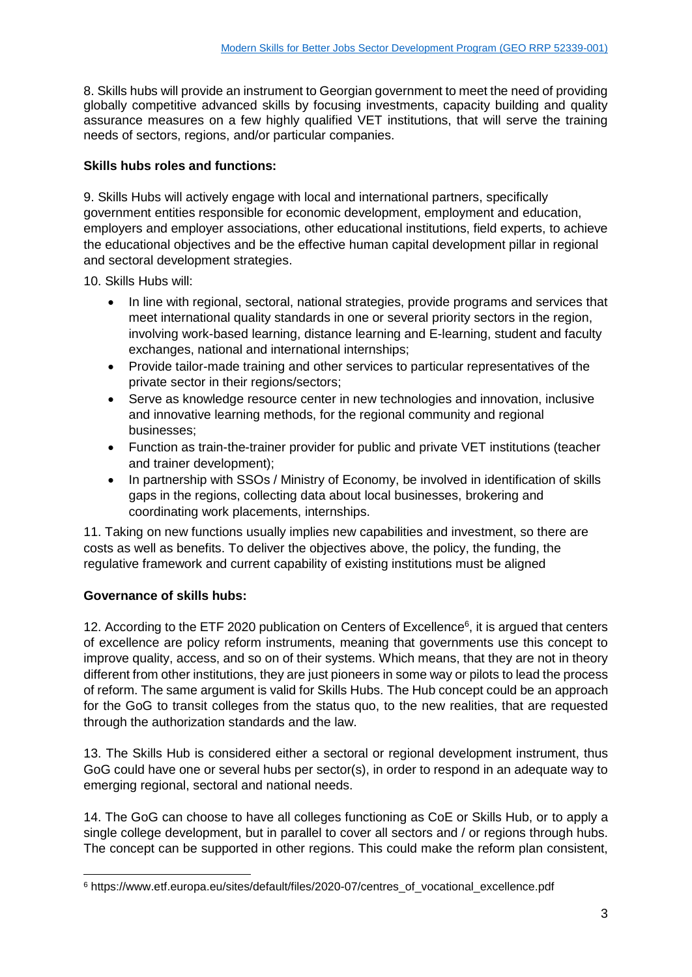8. Skills hubs will provide an instrument to Georgian government to meet the need of providing globally competitive advanced skills by focusing investments, capacity building and quality assurance measures on a few highly qualified VET institutions, that will serve the training needs of sectors, regions, and/or particular companies.

## **Skills hubs roles and functions:**

9. Skills Hubs will actively engage with local and international partners, specifically government entities responsible for economic development, employment and education, employers and employer associations, other educational institutions, field experts, to achieve the educational objectives and be the effective human capital development pillar in regional and sectoral development strategies.

10. Skills Hubs will:

- In line with regional, sectoral, national strategies, provide programs and services that meet international quality standards in one or several priority sectors in the region, involving work-based learning, distance learning and E-learning, student and faculty exchanges, national and international internships;
- Provide tailor-made training and other services to particular representatives of the private sector in their regions/sectors;
- Serve as knowledge resource center in new technologies and innovation, inclusive and innovative learning methods, for the regional community and regional businesses;
- Function as train-the-trainer provider for public and private VET institutions (teacher and trainer development);
- In partnership with SSOs / Ministry of Economy, be involved in identification of skills gaps in the regions, collecting data about local businesses, brokering and coordinating work placements, internships.

11. Taking on new functions usually implies new capabilities and investment, so there are costs as well as benefits. To deliver the objectives above, the policy, the funding, the regulative framework and current capability of existing institutions must be aligned

## **Governance of skills hubs:**

12. According to the ETF 2020 publication on Centers of Excellence $6$ , it is argued that centers of excellence are policy reform instruments, meaning that governments use this concept to improve quality, access, and so on of their systems. Which means, that they are not in theory different from other institutions, they are just pioneers in some way or pilots to lead the process of reform. The same argument is valid for Skills Hubs. The Hub concept could be an approach for the GoG to transit colleges from the status quo, to the new realities, that are requested through the authorization standards and the law.

13. The Skills Hub is considered either a sectoral or regional development instrument, thus GoG could have one or several hubs per sector(s), in order to respond in an adequate way to emerging regional, sectoral and national needs.

14. The GoG can choose to have all colleges functioning as CoE or Skills Hub, or to apply a single college development, but in parallel to cover all sectors and / or regions through hubs. The concept can be supported in other regions. This could make the reform plan consistent,

<sup>-</sup><sup>6</sup> https://www.etf.europa.eu/sites/default/files/2020-07/centres\_of\_vocational\_excellence.pdf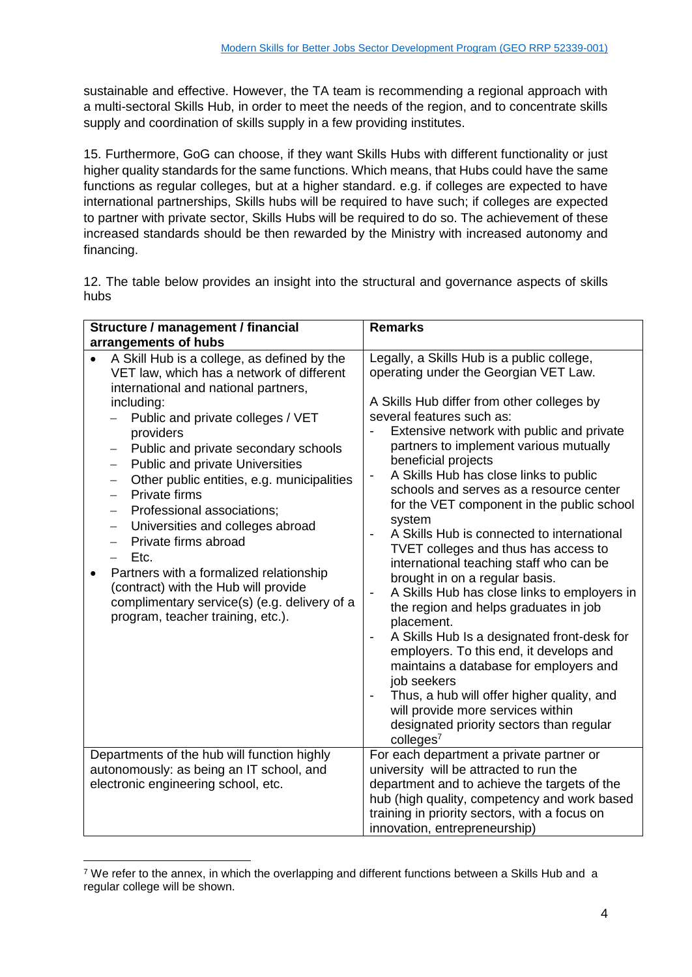sustainable and effective. However, the TA team is recommending a regional approach with a multi-sectoral Skills Hub, in order to meet the needs of the region, and to concentrate skills supply and coordination of skills supply in a few providing institutes.

15. Furthermore, GoG can choose, if they want Skills Hubs with different functionality or just higher quality standards for the same functions. Which means, that Hubs could have the same functions as regular colleges, but at a higher standard. e.g. if colleges are expected to have international partnerships, Skills hubs will be required to have such; if colleges are expected to partner with private sector, Skills Hubs will be required to do so. The achievement of these increased standards should be then rewarded by the Ministry with increased autonomy and financing.

12. The table below provides an insight into the structural and governance aspects of skills hubs

| Structure / management / financial                                                                                                                                                                                                                                                                                                                                                                                                                                                                                                                                                                                                                                                                                                                                                          | <b>Remarks</b>                                                                                                                                                                                                                                                                                                                                                                                                                                                                                                                                                                                                                                                                                                                                                                                                                                                                                                                                                                                                                                                                                                                                                |
|---------------------------------------------------------------------------------------------------------------------------------------------------------------------------------------------------------------------------------------------------------------------------------------------------------------------------------------------------------------------------------------------------------------------------------------------------------------------------------------------------------------------------------------------------------------------------------------------------------------------------------------------------------------------------------------------------------------------------------------------------------------------------------------------|---------------------------------------------------------------------------------------------------------------------------------------------------------------------------------------------------------------------------------------------------------------------------------------------------------------------------------------------------------------------------------------------------------------------------------------------------------------------------------------------------------------------------------------------------------------------------------------------------------------------------------------------------------------------------------------------------------------------------------------------------------------------------------------------------------------------------------------------------------------------------------------------------------------------------------------------------------------------------------------------------------------------------------------------------------------------------------------------------------------------------------------------------------------|
| arrangements of hubs                                                                                                                                                                                                                                                                                                                                                                                                                                                                                                                                                                                                                                                                                                                                                                        |                                                                                                                                                                                                                                                                                                                                                                                                                                                                                                                                                                                                                                                                                                                                                                                                                                                                                                                                                                                                                                                                                                                                                               |
| A Skill Hub is a college, as defined by the<br>VET law, which has a network of different<br>international and national partners,<br>including:<br>Public and private colleges / VET<br>providers<br>Public and private secondary schools<br>Public and private Universities<br>$\overline{\phantom{m}}$<br>Other public entities, e.g. municipalities<br>$\overline{\phantom{m}}$<br>Private firms<br>$\qquad \qquad -$<br>Professional associations;<br>Universities and colleges abroad<br>$\overline{\phantom{m}}$<br>Private firms abroad<br>$\overline{\phantom{0}}$<br>Etc.<br>$\qquad \qquad -$<br>Partners with a formalized relationship<br>$\bullet$<br>(contract) with the Hub will provide<br>complimentary service(s) (e.g. delivery of a<br>program, teacher training, etc.). | Legally, a Skills Hub is a public college,<br>operating under the Georgian VET Law.<br>A Skills Hub differ from other colleges by<br>several features such as:<br>Extensive network with public and private<br>-<br>partners to implement various mutually<br>beneficial projects<br>A Skills Hub has close links to public<br>$\overline{\phantom{a}}$<br>schools and serves as a resource center<br>for the VET component in the public school<br>system<br>A Skills Hub is connected to international<br>$\qquad \qquad \blacksquare$<br>TVET colleges and thus has access to<br>international teaching staff who can be<br>brought in on a regular basis.<br>A Skills Hub has close links to employers in<br>$\blacksquare$<br>the region and helps graduates in job<br>placement.<br>A Skills Hub Is a designated front-desk for<br>$\qquad \qquad \blacksquare$<br>employers. To this end, it develops and<br>maintains a database for employers and<br>job seekers<br>Thus, a hub will offer higher quality, and<br>$\overline{\phantom{a}}$<br>will provide more services within<br>designated priority sectors than regular<br>colleges <sup>7</sup> |
| Departments of the hub will function highly<br>autonomously: as being an IT school, and<br>electronic engineering school, etc.                                                                                                                                                                                                                                                                                                                                                                                                                                                                                                                                                                                                                                                              | For each department a private partner or<br>university will be attracted to run the<br>department and to achieve the targets of the<br>hub (high quality, competency and work based<br>training in priority sectors, with a focus on                                                                                                                                                                                                                                                                                                                                                                                                                                                                                                                                                                                                                                                                                                                                                                                                                                                                                                                          |
|                                                                                                                                                                                                                                                                                                                                                                                                                                                                                                                                                                                                                                                                                                                                                                                             | innovation, entrepreneurship)                                                                                                                                                                                                                                                                                                                                                                                                                                                                                                                                                                                                                                                                                                                                                                                                                                                                                                                                                                                                                                                                                                                                 |

<sup>&</sup>lt;sup>7</sup> We refer to the annex, in which the overlapping and different functions between a Skills Hub and a regular college will be shown.

-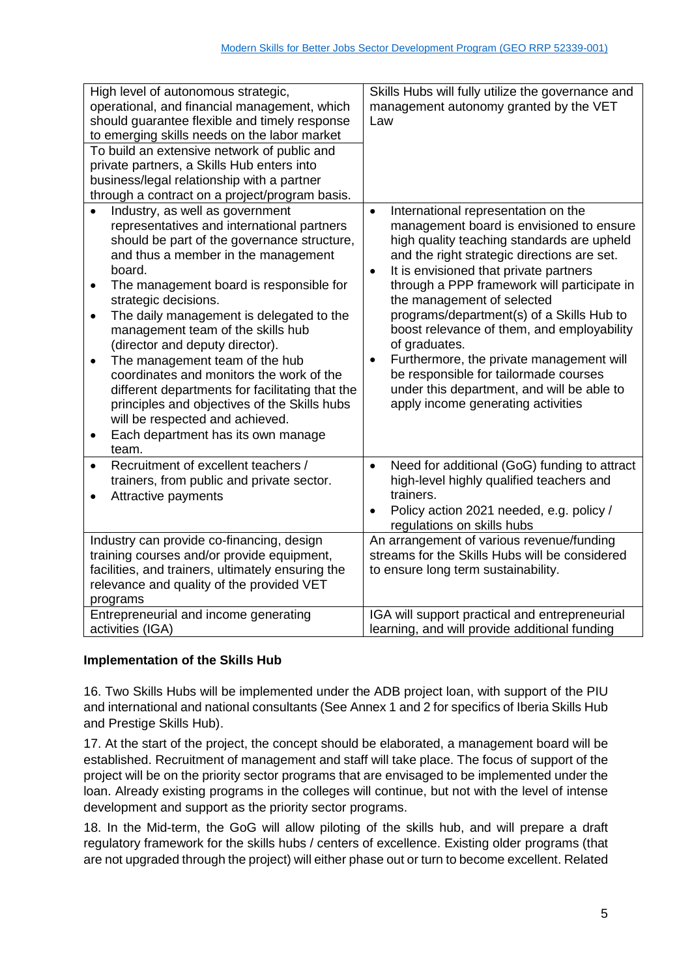| High level of autonomous strategic,<br>operational, and financial management, which<br>should guarantee flexible and timely response<br>to emerging skills needs on the labor market<br>To build an extensive network of public and<br>private partners, a Skills Hub enters into<br>business/legal relationship with a partner<br>through a contract on a project/program basis.                                                                                                                                                                                                                                                                                                           | Skills Hubs will fully utilize the governance and<br>management autonomy granted by the VET<br>Law                                                                                                                                                                                                                                                                                                                                                                                                                                                                                                                              |
|---------------------------------------------------------------------------------------------------------------------------------------------------------------------------------------------------------------------------------------------------------------------------------------------------------------------------------------------------------------------------------------------------------------------------------------------------------------------------------------------------------------------------------------------------------------------------------------------------------------------------------------------------------------------------------------------|---------------------------------------------------------------------------------------------------------------------------------------------------------------------------------------------------------------------------------------------------------------------------------------------------------------------------------------------------------------------------------------------------------------------------------------------------------------------------------------------------------------------------------------------------------------------------------------------------------------------------------|
| Industry, as well as government<br>representatives and international partners<br>should be part of the governance structure,<br>and thus a member in the management<br>board.<br>The management board is responsible for<br>$\bullet$<br>strategic decisions.<br>The daily management is delegated to the<br>$\bullet$<br>management team of the skills hub<br>(director and deputy director).<br>The management team of the hub<br>$\bullet$<br>coordinates and monitors the work of the<br>different departments for facilitating that the<br>principles and objectives of the Skills hubs<br>will be respected and achieved.<br>Each department has its own manage<br>$\bullet$<br>team. | International representation on the<br>$\bullet$<br>management board is envisioned to ensure<br>high quality teaching standards are upheld<br>and the right strategic directions are set.<br>It is envisioned that private partners<br>$\bullet$<br>through a PPP framework will participate in<br>the management of selected<br>programs/department(s) of a Skills Hub to<br>boost relevance of them, and employability<br>of graduates.<br>Furthermore, the private management will<br>$\bullet$<br>be responsible for tailormade courses<br>under this department, and will be able to<br>apply income generating activities |
| Recruitment of excellent teachers /<br>$\bullet$<br>trainers, from public and private sector.<br>Attractive payments                                                                                                                                                                                                                                                                                                                                                                                                                                                                                                                                                                        | Need for additional (GoG) funding to attract<br>$\bullet$<br>high-level highly qualified teachers and<br>trainers.<br>Policy action 2021 needed, e.g. policy /<br>$\bullet$<br>regulations on skills hubs                                                                                                                                                                                                                                                                                                                                                                                                                       |
| Industry can provide co-financing, design                                                                                                                                                                                                                                                                                                                                                                                                                                                                                                                                                                                                                                                   | An arrangement of various revenue/funding                                                                                                                                                                                                                                                                                                                                                                                                                                                                                                                                                                                       |
| training courses and/or provide equipment,<br>facilities, and trainers, ultimately ensuring the<br>relevance and quality of the provided VET<br>programs                                                                                                                                                                                                                                                                                                                                                                                                                                                                                                                                    | streams for the Skills Hubs will be considered<br>to ensure long term sustainability.                                                                                                                                                                                                                                                                                                                                                                                                                                                                                                                                           |
| Entrepreneurial and income generating                                                                                                                                                                                                                                                                                                                                                                                                                                                                                                                                                                                                                                                       | IGA will support practical and entrepreneurial                                                                                                                                                                                                                                                                                                                                                                                                                                                                                                                                                                                  |
| activities (IGA)                                                                                                                                                                                                                                                                                                                                                                                                                                                                                                                                                                                                                                                                            | learning, and will provide additional funding                                                                                                                                                                                                                                                                                                                                                                                                                                                                                                                                                                                   |

## **Implementation of the Skills Hub**

16. Two Skills Hubs will be implemented under the ADB project loan, with support of the PIU and international and national consultants (See Annex 1 and 2 for specifics of Iberia Skills Hub and Prestige Skills Hub).

17. At the start of the project, the concept should be elaborated, a management board will be established. Recruitment of management and staff will take place. The focus of support of the project will be on the priority sector programs that are envisaged to be implemented under the loan. Already existing programs in the colleges will continue, but not with the level of intense development and support as the priority sector programs.

18. In the Mid-term, the GoG will allow piloting of the skills hub, and will prepare a draft regulatory framework for the skills hubs / centers of excellence. Existing older programs (that are not upgraded through the project) will either phase out or turn to become excellent. Related